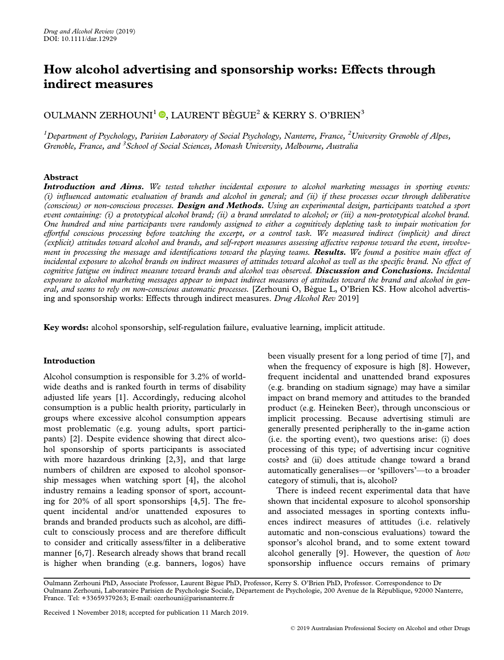# How alcohol advertising and sponsorship works: Effects through indirect measures

# OULMANN ZERHOUNI<sup>1</sup> **.**[,](https://orcid.org/0000-0002-4026-1921) LAURENT BÈGUE<sup>2</sup> & KERRY S. O'BRIEN<sup>3</sup>

 $^1$ Department of Psychology, Parisien Laboratory of Social Psychology, Nanterre, France,  $^2$ University Grenoble of Alpes, Grenoble, France, and <sup>3</sup>School of Social Sciences, Monash University, Melbourne, Australia

## Abstract

**Introduction and Aims.** We tested whether incidental exposure to alcohol marketing messages in sporting events: (i) influenced automatic evaluation of brands and alcohol in general; and (ii) if these processes occur through deliberative (conscious) or non-conscious processes. Design and Methods. Using an experimental design, participants watched a sport event containing: (i) a prototypical alcohol brand; (ii) a brand unrelated to alcohol; or (iii) a non-prototypical alcohol brand. One hundred and nine participants were randomly assigned to either a cognitively depleting task to impair motivation for effortful conscious processing before watching the excerpt, or a control task. We measured indirect (implicit) and direct (explicit) attitudes toward alcohol and brands, and self-report measures assessing affective response toward the event, involvement in processing the message and identifications toward the playing teams. **Results.** We found a positive main effect of incidental exposure to alcohol brands on indirect measures of attitudes toward alcohol as well as the specific brand. No effect of cognitive fatigue on indirect measure toward brands and alcohol was observed. Discussion and Conclusions. Incidental exposure to alcohol marketing messages appear to impact indirect measures of attitudes toward the brand and alcohol in general, and seems to rely on non-conscious automatic processes. [Zerhouni O, Bègue L, O'Brien KS. How alcohol advertising and sponsorship works: Effects through indirect measures. Drug Alcohol Rev 2019]

Key words: alcohol sponsorship, self-regulation failure, evaluative learning, implicit attitude.

## Introduction

Alcohol consumption is responsible for 3.2% of worldwide deaths and is ranked fourth in terms of disability adjusted life years [1]. Accordingly, reducing alcohol consumption is a public health priority, particularly in groups where excessive alcohol consumption appears most problematic (e.g. young adults, sport participants) [2]. Despite evidence showing that direct alcohol sponsorship of sports participants is associated with more hazardous drinking [2,3], and that large numbers of children are exposed to alcohol sponsorship messages when watching sport [4], the alcohol industry remains a leading sponsor of sport, accounting for 20% of all sport sponsorships [4,5]. The frequent incidental and/or unattended exposures to brands and branded products such as alcohol, are difficult to consciously process and are therefore difficult to consider and critically assess/filter in a deliberative manner [6,7]. Research already shows that brand recall is higher when branding (e.g. banners, logos) have

been visually present for a long period of time [7], and when the frequency of exposure is high [8]. However, frequent incidental and unattended brand exposures (e.g. branding on stadium signage) may have a similar impact on brand memory and attitudes to the branded product (e.g. Heineken Beer), through unconscious or implicit processing. Because advertising stimuli are generally presented peripherally to the in-game action (i.e. the sporting event), two questions arise: (i) does processing of this type; of advertising incur cognitive costs? and (ii) does attitude change toward a brand automatically generalises—or 'spillovers'—to a broader category of stimuli, that is, alcohol?

There is indeed recent experimental data that have shown that incidental exposure to alcohol sponsorship and associated messages in sporting contexts influences indirect measures of attitudes (i.e. relatively automatic and non-conscious evaluations) toward the sponsor's alcohol brand, and to some extent toward alcohol generally [9]. However, the question of how sponsorship influence occurs remains of primary

Oulmann Zerhouni PhD, Associate Professor, Laurent Bègue PhD, Professor, Kerry S. O'Brien PhD, Professor. Correspondence to Dr Oulmann Zerhouni, Laboratoire Parisien de Psychologie Sociale, Département de Psychologie, 200 Avenue de la République, 92000 Nanterre, France. Tel: +33659379263; E-mail: [ozerhouni@parisnanterre.fr](mailto:ozerhouni@parisnanterre.fr)

Received 1 November 2018; accepted for publication 11 March 2019.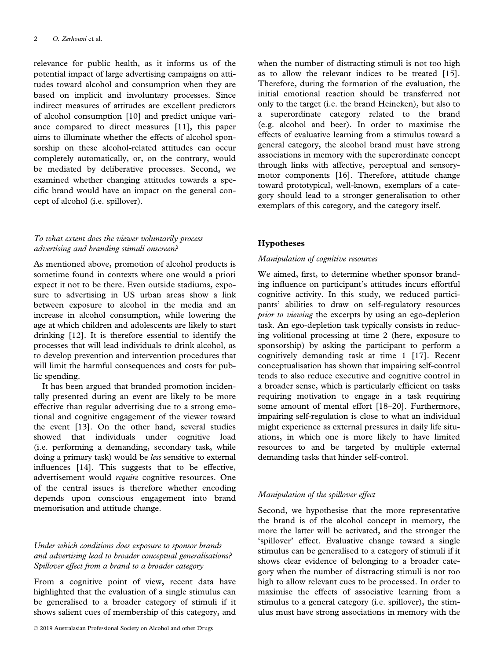relevance for public health, as it informs us of the potential impact of large advertising campaigns on attitudes toward alcohol and consumption when they are based on implicit and involuntary processes. Since indirect measures of attitudes are excellent predictors of alcohol consumption [10] and predict unique variance compared to direct measures [11], this paper aims to illuminate whether the effects of alcohol sponsorship on these alcohol-related attitudes can occur completely automatically, or, on the contrary, would be mediated by deliberative processes. Second, we examined whether changing attitudes towards a specific brand would have an impact on the general concept of alcohol (i.e. spillover).

## To what extent does the viewer voluntarily process advertising and branding stimuli onscreen?

As mentioned above, promotion of alcohol products is sometime found in contexts where one would a priori expect it not to be there. Even outside stadiums, exposure to advertising in US urban areas show a link between exposure to alcohol in the media and an increase in alcohol consumption, while lowering the age at which children and adolescents are likely to start drinking [12]. It is therefore essential to identify the processes that will lead individuals to drink alcohol, as to develop prevention and intervention procedures that will limit the harmful consequences and costs for public spending.

It has been argued that branded promotion incidentally presented during an event are likely to be more effective than regular advertising due to a strong emotional and cognitive engagement of the viewer toward the event [13]. On the other hand, several studies showed that individuals under cognitive load (i.e. performing a demanding, secondary task, while doing a primary task) would be less sensitive to external influences [14]. This suggests that to be effective, advertisement would *require* cognitive resources. One of the central issues is therefore whether encoding depends upon conscious engagement into brand memorisation and attitude change.

## Under which conditions does exposure to sponsor brands and advertising lead to broader conceptual generalisations? Spillover effect from a brand to a broader category

From a cognitive point of view, recent data have highlighted that the evaluation of a single stimulus can be generalised to a broader category of stimuli if it shows salient cues of membership of this category, and

when the number of distracting stimuli is not too high as to allow the relevant indices to be treated [15]. Therefore, during the formation of the evaluation, the initial emotional reaction should be transferred not only to the target (i.e. the brand Heineken), but also to a superordinate category related to the brand (e.g. alcohol and beer). In order to maximise the effects of evaluative learning from a stimulus toward a general category, the alcohol brand must have strong associations in memory with the superordinate concept through links with affective, perceptual and sensorymotor components [16]. Therefore, attitude change toward prototypical, well-known, exemplars of a category should lead to a stronger generalisation to other exemplars of this category, and the category itself.

## Hypotheses

#### Manipulation of cognitive resources

We aimed, first, to determine whether sponsor branding influence on participant's attitudes incurs effortful cognitive activity. In this study, we reduced participants' abilities to draw on self-regulatory resources prior to viewing the excerpts by using an ego-depletion task. An ego-depletion task typically consists in reducing volitional processing at time 2 (here, exposure to sponsorship) by asking the participant to perform a cognitively demanding task at time 1 [17]. Recent conceptualisation has shown that impairing self-control tends to also reduce executive and cognitive control in a broader sense, which is particularly efficient on tasks requiring motivation to engage in a task requiring some amount of mental effort [18–20]. Furthermore, impairing self-regulation is close to what an individual might experience as external pressures in daily life situations, in which one is more likely to have limited resources to and be targeted by multiple external demanding tasks that hinder self-control.

#### Manipulation of the spillover effect

Second, we hypothesise that the more representative the brand is of the alcohol concept in memory, the more the latter will be activated, and the stronger the 'spillover' effect. Evaluative change toward a single stimulus can be generalised to a category of stimuli if it shows clear evidence of belonging to a broader category when the number of distracting stimuli is not too high to allow relevant cues to be processed. In order to maximise the effects of associative learning from a stimulus to a general category (i.e. spillover), the stimulus must have strong associations in memory with the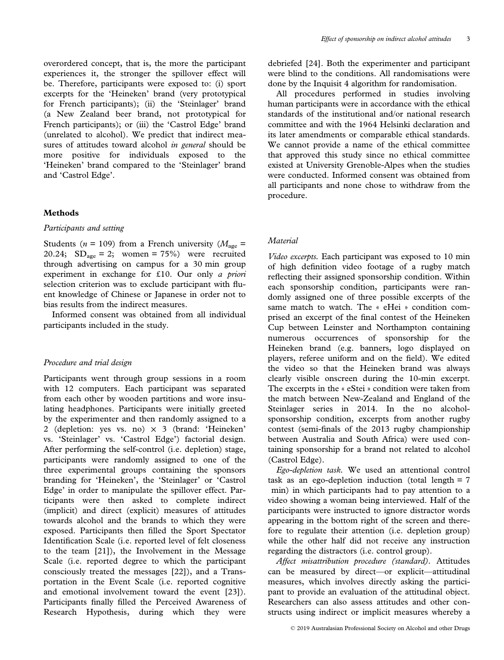overordered concept, that is, the more the participant experiences it, the stronger the spillover effect will be. Therefore, participants were exposed to: (i) sport excerpts for the 'Heineken' brand (very prototypical for French participants); (ii) the 'Steinlager' brand (a New Zealand beer brand, not prototypical for French participants); or (iii) the 'Castrol Edge' brand (unrelated to alcohol). We predict that indirect measures of attitudes toward alcohol in general should be

and 'Castrol Edge'.

## Methods

#### Participants and setting

Students ( $n = 109$ ) from a French university ( $M_{\text{age}} =$ 20.24;  $SD<sub>age</sub> = 2$ ; women = 75%) were recruited through advertising on campus for a 30 min group experiment in exchange for £10. Our only a priori selection criterion was to exclude participant with fluent knowledge of Chinese or Japanese in order not to bias results from the indirect measures.

more positive for individuals exposed to the 'Heineken' brand compared to the 'Steinlager' brand

Informed consent was obtained from all individual participants included in the study.

## Procedure and trial design

Participants went through group sessions in a room with 12 computers. Each participant was separated from each other by wooden partitions and wore insulating headphones. Participants were initially greeted by the experimenter and then randomly assigned to a 2 (depletion: yes vs. no)  $\times$  3 (brand: 'Heineken' vs. 'Steinlager' vs. 'Castrol Edge') factorial design. After performing the self-control (i.e. depletion) stage, participants were randomly assigned to one of the three experimental groups containing the sponsors branding for 'Heineken', the 'Steinlager' or 'Castrol Edge' in order to manipulate the spillover effect. Participants were then asked to complete indirect (implicit) and direct (explicit) measures of attitudes towards alcohol and the brands to which they were exposed. Participants then filled the Sport Spectator Identification Scale (i.e. reported level of felt closeness to the team [21]), the Involvement in the Message Scale (i.e. reported degree to which the participant consciously treated the messages [22]), and a Transportation in the Event Scale (i.e. reported cognitive and emotional involvement toward the event [23]). Participants finally filled the Perceived Awareness of Research Hypothesis, during which they were debriefed [24]. Both the experimenter and participant were blind to the conditions. All randomisations were done by the Inquisit 4 algorithm for randomisation.

All procedures performed in studies involving human participants were in accordance with the ethical standards of the institutional and/or national research committee and with the 1964 Helsinki declaration and its later amendments or comparable ethical standards. We cannot provide a name of the ethical committee that approved this study since no ethical committee existed at University Grenoble-Alpes when the studies were conducted. Informed consent was obtained from all participants and none chose to withdraw from the procedure.

## Material

Video excerpts. Each participant was exposed to 10 min of high definition video footage of a rugby match reflecting their assigned sponsorship condition. Within each sponsorship condition, participants were randomly assigned one of three possible excerpts of the same match to watch. The « eHei » condition comprised an excerpt of the final contest of the Heineken Cup between Leinster and Northampton containing numerous occurrences of sponsorship for the Heineken brand (e.g. banners, logo displayed on players, referee uniform and on the field). We edited the video so that the Heineken brand was always clearly visible onscreen during the 10-min excerpt. The excerpts in the « eStei » condition were taken from the match between New-Zealand and England of the Steinlager series in 2014. In the no alcoholsponsorship condition, excerpts from another rugby contest (semi-finals of the 2013 rugby championship between Australia and South Africa) were used containing sponsorship for a brand not related to alcohol (Castrol Edge).

Ego-depletion task. We used an attentional control task as an ego-depletion induction (total length  $= 7$ min) in which participants had to pay attention to a video showing a woman being interviewed. Half of the participants were instructed to ignore distractor words appearing in the bottom right of the screen and therefore to regulate their attention (i.e. depletion group) while the other half did not receive any instruction regarding the distractors (i.e. control group).

Affect misattribution procedure (standard). Attitudes can be measured by direct—or explicit—attitudinal measures, which involves directly asking the participant to provide an evaluation of the attitudinal object. Researchers can also assess attitudes and other constructs using indirect or implicit measures whereby a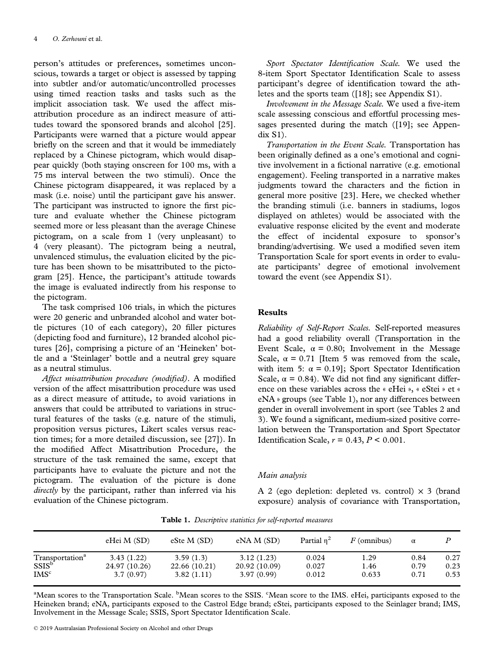person's attitudes or preferences, sometimes unconscious, towards a target or object is assessed by tapping into subtler and/or automatic/uncontrolled processes using timed reaction tasks and tasks such as the implicit association task. We used the affect misattribution procedure as an indirect measure of attitudes toward the sponsored brands and alcohol [25]. Participants were warned that a picture would appear briefly on the screen and that it would be immediately replaced by a Chinese pictogram, which would disappear quickly (both staying onscreen for 100 ms, with a 75 ms interval between the two stimuli). Once the Chinese pictogram disappeared, it was replaced by a mask (i.e. noise) until the participant gave his answer. The participant was instructed to ignore the first picture and evaluate whether the Chinese pictogram seemed more or less pleasant than the average Chinese pictogram, on a scale from 1 (very unpleasant) to 4 (very pleasant). The pictogram being a neutral, unvalenced stimulus, the evaluation elicited by the picture has been shown to be misattributed to the pictogram [25]. Hence, the participant's attitude towards the image is evaluated indirectly from his response to the pictogram.

The task comprised 106 trials, in which the pictures were 20 generic and unbranded alcohol and water bottle pictures (10 of each category), 20 filler pictures (depicting food and furniture), 12 branded alcohol pictures [26], comprising a picture of an 'Heineken' bottle and a 'Steinlager' bottle and a neutral grey square as a neutral stimulus.

Affect misattribution procedure (modified). A modified version of the affect misattribution procedure was used as a direct measure of attitude, to avoid variations in answers that could be attributed to variations in structural features of the tasks (e.g. nature of the stimuli, proposition versus pictures, Likert scales versus reaction times; for a more detailed discussion, see [27]). In the modified Affect Misattribution Procedure, the structure of the task remained the same, except that participants have to evaluate the picture and not the pictogram. The evaluation of the picture is done directly by the participant, rather than inferred via his evaluation of the Chinese pictogram.

Sport Spectator Identification Scale. We used the 8-item Sport Spectator Identification Scale to assess participant's degree of identification toward the athletes and the sports team ([18]; see Appendix S1).

Involvement in the Message Scale. We used a five-item scale assessing conscious and effortful processing messages presented during the match ([19]; see Appendix S1).

Transportation in the Event Scale. Transportation has been originally defined as a one's emotional and cognitive involvement in a fictional narrative (e.g. emotional engagement). Feeling transported in a narrative makes judgments toward the characters and the fiction in general more positive [23]. Here, we checked whether the branding stimuli (i.e. banners in stadiums, logos displayed on athletes) would be associated with the evaluative response elicited by the event and moderate the effect of incidental exposure to sponsor's branding/advertising. We used a modified seven item Transportation Scale for sport events in order to evaluate participants' degree of emotional involvement toward the event (see Appendix S1).

## Results

Reliability of Self-Report Scales. Self-reported measures had a good reliability overall (Transportation in the Event Scale,  $\alpha = 0.80$ ; Involvement in the Message Scale,  $\alpha = 0.71$  [Item 5 was removed from the scale, with item 5:  $\alpha = 0.19$ ]; Sport Spectator Identification Scale,  $\alpha = 0.84$ ). We did not find any significant difference on these variables across the « eHei », « eStei » et « eNA » groups (see Table 1), nor any differences between gender in overall involvement in sport (see Tables 2 and 3). We found a significant, medium-sized positive correlation between the Transportation and Sport Spectator Identification Scale,  $r = 0.43$ ,  $P < 0.001$ .

## Main analysis

A 2 (ego depletion: depleted vs. control)  $\times$  3 (brand exposure) analysis of covariance with Transportation,

|  |  |  | Table 1. Descriptive statistics for self-reported measures |  |
|--|--|--|------------------------------------------------------------|--|
|--|--|--|------------------------------------------------------------|--|

|                                                  | eHei M (SD)   | eSte M(SD)    | eNA M(SD)     | Partial $n^2$ | $F$ (omnibus) | $\alpha$ |      |
|--------------------------------------------------|---------------|---------------|---------------|---------------|---------------|----------|------|
| Transportation <sup>a</sup><br>SSIS <sup>b</sup> | 3.43(1.22)    | 3.59(1.3)     | 3.12(1.23)    | 0.024         | 1.29          | 0.84     | 0.27 |
|                                                  | 24.97 (10.26) | 22.66 (10.21) | 20.92 (10.09) | 0.027         | 1.46          | 0.79     | 0.23 |
| IMS <sup>c</sup>                                 | 3.7(0.97)     | 3.82(1.11)    | 3.97(0.99)    | 0.012         | 0.633         | 0.71     | 0.53 |

<sup>a</sup>Mean scores to the Transportation Scale. <sup>b</sup>Mean scores to the SSIS. <sup>c</sup>Mean score to the IMS. eHei, participants exposed to the Heineken brand; eNA, participants exposed to the Castrol Edge brand; eStei, participants exposed to the Seinlager brand; IMS, Involvement in the Message Scale; SSIS, Sport Spectator Identification Scale.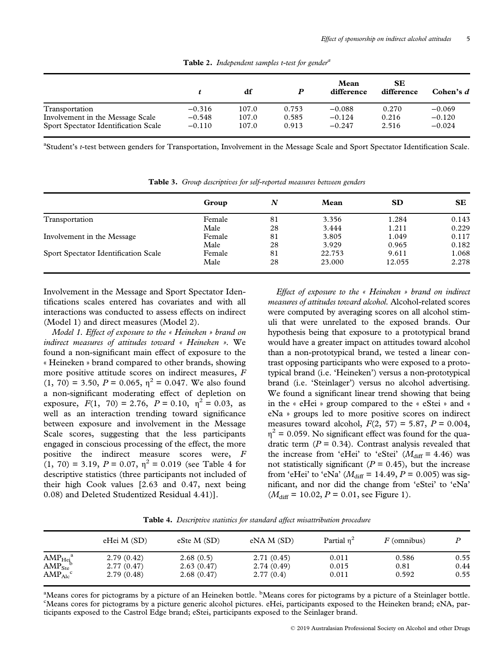|                                             |          | df    |       | Mean<br>difference | <b>SE</b><br>difference | Cohen's $d$ |
|---------------------------------------------|----------|-------|-------|--------------------|-------------------------|-------------|
| Transportation                              | $-0.316$ | 107.0 | 0.753 | $-0.088$           | 0.270                   | $-0.069$    |
| Involvement in the Message Scale            | $-0.548$ | 107.0 | 0.585 | $-0.124$           | 0.216                   | $-0.120$    |
| <b>Sport Spectator Identification Scale</b> | $-0.110$ | 107.0 | 0.913 | $-0.247$           | 2.516                   | $-0.024$    |

**Table 2.** Independent samples t-test for gender<sup>a</sup>

<sup>a</sup>Student's *t*-test between genders for Transportation, Involvement in the Message Scale and Sport Spectator Identification Scale.

|                                             | Group  | N  | Mean   | <b>SD</b> | <b>SE</b> |
|---------------------------------------------|--------|----|--------|-----------|-----------|
| Transportation                              | Female | 81 | 3.356  | 1.284     | 0.143     |
|                                             | Male   | 28 | 3.444  | 1.211     | 0.229     |
| Involvement in the Message                  | Female | 81 | 3.805  | 1.049     | 0.117     |
|                                             | Male   | 28 | 3.929  | 0.965     | 0.182     |
| <b>Sport Spectator Identification Scale</b> | Female | 81 | 22.753 | 9.611     | 1.068     |
|                                             | Male   | 28 | 23.000 | 12.055    | 2.278     |

Table 3. Group descriptives for self-reported measures between genders

Involvement in the Message and Sport Spectator Identifications scales entered has covariates and with all interactions was conducted to assess effects on indirect (Model 1) and direct measures (Model 2).

Model 1. Effect of exposure to the « Heineken » brand on indirect measures of attitudes toward « Heineken ». We found a non-significant main effect of exposure to the « Heineken » brand compared to other brands, showing more positive attitude scores on indirect measures, F  $(1, 70) = 3.50, P = 0.065, \eta^2 = 0.047$ . We also found a non-significant moderating effect of depletion on exposure,  $F(1, 70) = 2.76$ ,  $P = 0.10$ ,  $\eta^2 = 0.03$ , as well as an interaction trending toward significance between exposure and involvement in the Message Scale scores, suggesting that the less participants engaged in conscious processing of the effect, the more positive the indirect measure scores were, F  $(1, 70) = 3.19$ ,  $P = 0.07$ ,  $\eta^2 = 0.019$  (see Table 4 for descriptive statistics (three participants not included of their high Cook values [2.63 and 0.47, next being 0.08) and Deleted Studentized Residual 4.41)].

Effect of exposure to the « Heineken » brand on indirect measures of attitudes toward alcohol. Alcohol-related scores were computed by averaging scores on all alcohol stimuli that were unrelated to the exposed brands. Our hypothesis being that exposure to a prototypical brand would have a greater impact on attitudes toward alcohol than a non-prototypical brand, we tested a linear contrast opposing participants who were exposed to a prototypical brand (i.e. 'Heineken') versus a non-prototypical brand (i.e. 'Steinlager') versus no alcohol advertising. We found a significant linear trend showing that being in the « eHei » group compared to the « eStei » and « eNa » groups led to more positive scores on indirect measures toward alcohol,  $F(2, 57) = 5.87$ ,  $P = 0.004$ ,  $\eta^2$  = 0.059. No significant effect was found for the quadratic term  $(P = 0.34)$ . Contrast analysis revealed that the increase from 'eHei' to 'eStei'  $(M<sub>diff</sub> = 4.46)$  was not statistically significant ( $P = 0.45$ ), but the increase from 'eHei' to 'eNa' ( $M_{\text{diff}} = 14.49$ ,  $P = 0.005$ ) was significant, and nor did the change from 'eStei' to 'eNa'  $(M<sub>diff</sub> = 10.02, P = 0.01,$  see Figure 1).

Table 4. Descriptive statistics for standard affect misattribution procedure

|                                                                                 | eHei M (SD) | eSte $M(SD)$ | eNA M(SD)  | Partial $n^2$ | $F$ (omnibus) |      |
|---------------------------------------------------------------------------------|-------------|--------------|------------|---------------|---------------|------|
|                                                                                 | 2.79(0.42)  | 2.68(0.5)    | 2.71(0.45) | 0.011         | 0.586         | 0.55 |
| $\frac{\text{AMP}_{\text{Hei}}^{\text{a}}}{\text{AMP}_{\text{Ste}}^{\text{b}}}$ | 2.77(0.47)  | 2.63(0.47)   | 2.74(0.49) | 0.015         | 0.81          | 0.44 |
| $\text{AMP}_{\text{Alc}}^{\text{c}}$                                            | 2.79(0.48)  | 2.68(0.47)   | 2.77(0.4)  | 0.011         | 0.592         | 0.55 |

<sup>a</sup>Means cores for pictograms by a picture of an Heineken bottle. <sup>b</sup>Means cores for pictograms by a picture of a Steinlager bottle.<br><sup>CMeans</sup> cores for pictograms by a picture generic sloopel pictures, eHei, pericipants ex Means cores for pictograms by a picture generic alcohol pictures. eHei, participants exposed to the Heineken brand; eNA, participants exposed to the Castrol Edge brand; eStei, participants exposed to the Seinlager brand.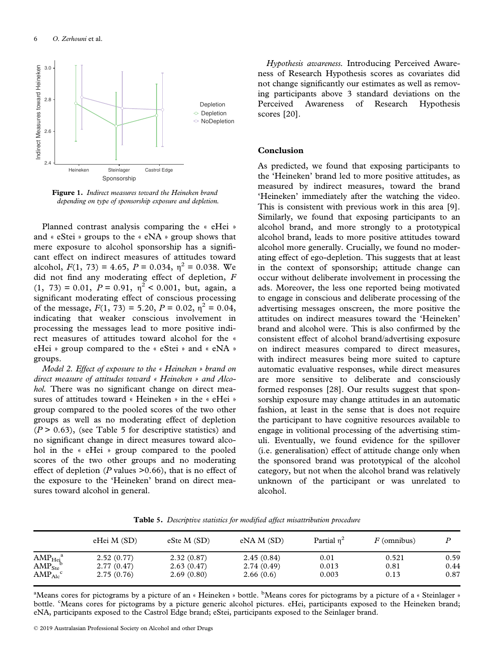

Figure 1. Indirect measures toward the Heineken brand depending on type of sponsorship exposure and depletion.

Planned contrast analysis comparing the « eHei » and « eStei » groups to the « eNA » group shows that mere exposure to alcohol sponsorship has a significant effect on indirect measures of attitudes toward alcohol,  $F(1, 73) = 4.65$ ,  $P = 0.034$ ,  $\eta^2 = 0.038$ . We did not find any moderating effect of depletion, F  $(1, 73) = 0.01$ ,  $P = 0.91$ ,  $\eta^2 < 0.001$ , but, again, a significant moderating effect of conscious processing of the message,  $F(1, 73) = 5.20$ ,  $P = 0.02$ ,  $\eta^2 = 0.04$ , indicating that weaker conscious involvement in processing the messages lead to more positive indirect measures of attitudes toward alcohol for the « eHei » group compared to the « eStei » and « eNA » groups.

Model 2. Effect of exposure to the « Heineken » brand on direct measure of attitudes toward « Heineken » and Alcohol. There was no significant change on direct measures of attitudes toward « Heineken » in the « eHei » group compared to the pooled scores of the two other groups as well as no moderating effect of depletion  $(P > 0.63)$ , (see Table 5 for descriptive statistics) and no significant change in direct measures toward alcohol in the « eHei » group compared to the pooled scores of the two other groups and no moderating effect of depletion ( $P$  values  $> 0.66$ ), that is no effect of the exposure to the 'Heineken' brand on direct measures toward alcohol in general.

Hypothesis awareness. Introducing Perceived Awareness of Research Hypothesis scores as covariates did not change significantly our estimates as well as removing participants above 3 standard deviations on the Perceived Awareness of Research Hypothesis scores [20].

### Conclusion

As predicted, we found that exposing participants to the 'Heineken' brand led to more positive attitudes, as measured by indirect measures, toward the brand 'Heineken' immediately after the watching the video. This is consistent with previous work in this area [9]. Similarly, we found that exposing participants to an alcohol brand, and more strongly to a prototypical alcohol brand, leads to more positive attitudes toward alcohol more generally. Crucially, we found no moderating effect of ego-depletion. This suggests that at least in the context of sponsorship; attitude change can occur without deliberate involvement in processing the ads. Moreover, the less one reported being motivated to engage in conscious and deliberate processing of the advertising messages onscreen, the more positive the attitudes on indirect measures toward the 'Heineken' brand and alcohol were. This is also confirmed by the consistent effect of alcohol brand/advertising exposure on indirect measures compared to direct measures, with indirect measures being more suited to capture automatic evaluative responses, while direct measures are more sensitive to deliberate and consciously formed responses [28]. Our results suggest that sponsorship exposure may change attitudes in an automatic fashion, at least in the sense that is does not require the participant to have cognitive resources available to engage in volitional processing of the advertising stimuli. Eventually, we found evidence for the spillover (i.e. generalisation) effect of attitude change only when the sponsored brand was prototypical of the alcohol category, but not when the alcohol brand was relatively unknown of the participant or was unrelated to alcohol.

|                                      | eHei M (SD) | eSte M(SD) | eNA M(SD)  | Partial $n^2$ | $F$ (omnibus) |      |
|--------------------------------------|-------------|------------|------------|---------------|---------------|------|
| $\text{AMP}_{\text{Hei}}^{\text{a}}$ | 2.52(0.77)  | 2.32(0.87) | 2.45(0.84) | 0.01          | 0.521         | 0.59 |
| $\text{AMP}_{\text{Ste}}^{\text{b}}$ | 2.77(0.47)  | 2.63(0.47) | 2.74(0.49) | 0.013         | 0.81          | 0.44 |
| $\text{AMP}_{\text{Alc}}^{\text{c}}$ | 2.75(0.76)  | 2.69(0.80) | 2.66(0.6)  | 0.003         | 0.13          | 0.87 |

Table 5. Descriptive statistics for modified affect misattribution procedure

<sup>a</sup>Means cores for pictograms by a picture of an « Heineken » bottle. <sup>b</sup>Means cores for pictograms by a picture of a « Steinlager » bottle. "Means cores for pictograms by a picture generic alcohol pictures. eHei, participants exposed to the Heineken brand; eNA, participants exposed to the Castrol Edge brand; eStei, participants exposed to the Seinlager brand.

© 2019 Australasian Professional Society on Alcohol and other Drugs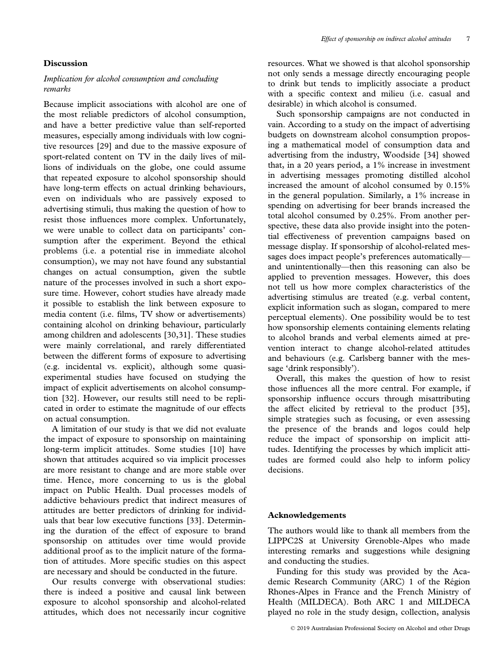### Discussion

## Implication for alcohol consumption and concluding remarks

Because implicit associations with alcohol are one of the most reliable predictors of alcohol consumption, and have a better predictive value than self-reported measures, especially among individuals with low cognitive resources [29] and due to the massive exposure of sport-related content on TV in the daily lives of millions of individuals on the globe, one could assume that repeated exposure to alcohol sponsorship should have long-term effects on actual drinking behaviours, even on individuals who are passively exposed to advertising stimuli, thus making the question of how to resist those influences more complex. Unfortunately, we were unable to collect data on participants' consumption after the experiment. Beyond the ethical problems (i.e. a potential rise in immediate alcohol consumption), we may not have found any substantial changes on actual consumption, given the subtle nature of the processes involved in such a short exposure time. However, cohort studies have already made it possible to establish the link between exposure to media content (i.e. films, TV show or advertisements) containing alcohol on drinking behaviour, particularly among children and adolescents [30,31]. These studies were mainly correlational, and rarely differentiated between the different forms of exposure to advertising (e.g. incidental vs. explicit), although some quasiexperimental studies have focused on studying the impact of explicit advertisements on alcohol consumption [32]. However, our results still need to be replicated in order to estimate the magnitude of our effects on actual consumption.

A limitation of our study is that we did not evaluate the impact of exposure to sponsorship on maintaining long-term implicit attitudes. Some studies [10] have shown that attitudes acquired so via implicit processes are more resistant to change and are more stable over time. Hence, more concerning to us is the global impact on Public Health. Dual processes models of addictive behaviours predict that indirect measures of attitudes are better predictors of drinking for individuals that bear low executive functions [33]. Determining the duration of the effect of exposure to brand sponsorship on attitudes over time would provide additional proof as to the implicit nature of the formation of attitudes. More specific studies on this aspect are necessary and should be conducted in the future.

Our results converge with observational studies: there is indeed a positive and causal link between exposure to alcohol sponsorship and alcohol-related attitudes, which does not necessarily incur cognitive resources. What we showed is that alcohol sponsorship not only sends a message directly encouraging people to drink but tends to implicitly associate a product with a specific context and milieu (i.e. casual and desirable) in which alcohol is consumed.

Such sponsorship campaigns are not conducted in vain. According to a study on the impact of advertising budgets on downstream alcohol consumption proposing a mathematical model of consumption data and advertising from the industry, Woodside [34] showed that, in a 20 years period, a 1% increase in investment in advertising messages promoting distilled alcohol increased the amount of alcohol consumed by 0.15% in the general population. Similarly, a 1% increase in spending on advertising for beer brands increased the total alcohol consumed by 0.25%. From another perspective, these data also provide insight into the potential effectiveness of prevention campaigns based on message display. If sponsorship of alcohol-related messages does impact people's preferences automatically and unintentionally—then this reasoning can also be applied to prevention messages. However, this does not tell us how more complex characteristics of the advertising stimulus are treated (e.g. verbal content, explicit information such as slogan, compared to mere perceptual elements). One possibility would be to test how sponsorship elements containing elements relating to alcohol brands and verbal elements aimed at prevention interact to change alcohol-related attitudes and behaviours (e.g. Carlsberg banner with the message 'drink responsibly').

Overall, this makes the question of how to resist those influences all the more central. For example, if sponsorship influence occurs through misattributing the affect elicited by retrieval to the product [35], simple strategies such as focusing, or even assessing the presence of the brands and logos could help reduce the impact of sponsorship on implicit attitudes. Identifying the processes by which implicit attitudes are formed could also help to inform policy decisions.

#### Acknowledgements

The authors would like to thank all members from the LIPPC2S at University Grenoble-Alpes who made interesting remarks and suggestions while designing and conducting the studies.

Funding for this study was provided by the Academic Research Community (ARC) 1 of the Région Rhones-Alpes in France and the French Ministry of Health (MILDECA). Both ARC 1 and MILDECA played no role in the study design, collection, analysis